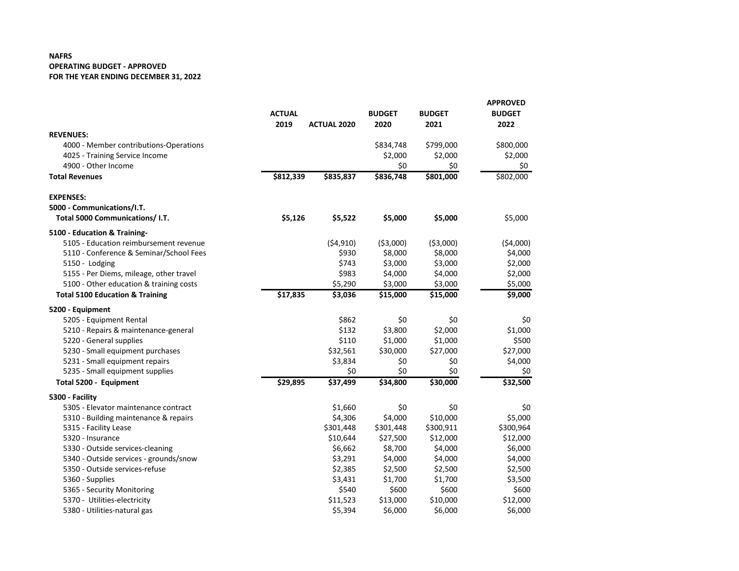## **NAFRS OPERATING BUDGET - APPROVED FOR THE YEAR ENDING DECEMBER 31, 2022**

|                                            |               |                    |               |               | <b>APPROVED</b> |
|--------------------------------------------|---------------|--------------------|---------------|---------------|-----------------|
|                                            | <b>ACTUAL</b> |                    | <b>BUDGET</b> | <b>BUDGET</b> | <b>BUDGET</b>   |
|                                            | 2019          | <b>ACTUAL 2020</b> | 2020          | 2021          | 2022            |
| <b>REVENUES:</b>                           |               |                    |               |               |                 |
| 4000 - Member contributions-Operations     |               |                    | \$834,748     | \$799,000     | \$800,000       |
| 4025 - Training Service Income             |               |                    | \$2,000       | \$2,000       | \$2,000         |
| 4900 - Other Income                        |               |                    | \$0           | \$0           | \$0             |
| <b>Total Revenues</b>                      | \$812,339     | \$835,837          | \$836,748     | \$801,000     | \$802,000       |
| <b>EXPENSES:</b>                           |               |                    |               |               |                 |
| 5000 - Communications/I.T.                 |               |                    |               |               |                 |
| Total 5000 Communications/ I.T.            | \$5,126       | \$5,522            | \$5,000       | \$5,000       | \$5,000         |
| 5100 - Education & Training-               |               |                    |               |               |                 |
| 5105 - Education reimbursement revenue     |               | ( \$4,910)         | ( \$3,000)    | ( \$3,000)    | ( \$4,000)      |
| 5110 - Conference & Seminar/School Fees    |               | \$930              | \$8,000       | \$8,000       | \$4,000         |
| 5150 - Lodging                             |               | \$743              | \$3,000       | \$3,000       | \$2,000         |
| 5155 - Per Diems, mileage, other travel    |               | \$983              | \$4,000       | \$4,000       | \$2,000         |
| 5100 - Other education & training costs    |               | \$5,290            | \$3,000       | \$3,000       | \$5,000         |
| <b>Total 5100 Education &amp; Training</b> | \$17,835      | \$3,036            | \$15,000      | \$15,000      | \$9,000         |
| 5200 - Equipment                           |               |                    |               |               |                 |
| 5205 - Equipment Rental                    |               | \$862              | \$0           | \$0           | \$0             |
| 5210 - Repairs & maintenance-general       |               | \$132              | \$3,800       | \$2,000       | \$1,000         |
| 5220 - General supplies                    |               | \$110              | \$1,000       | \$1,000       | \$500           |
| 5230 - Small equipment purchases           |               | \$32,561           | \$30,000      | \$27,000      | \$27,000        |
| 5231 - Small equipment repairs             |               | \$3,834            | \$0           | \$0           | \$4,000         |
| 5235 - Small equipment supplies            |               | \$0                | \$0           | \$0           | \$0             |
| Total 5200 - Equipment                     | \$29,895      | \$37,499           | \$34,800      | \$30,000      | \$32,500        |
| 5300 - Facility                            |               |                    |               |               |                 |
| 5305 - Elevator maintenance contract       |               | \$1,660            | \$0           | \$0           | \$0             |
| 5310 - Building maintenance & repairs      |               | \$4,306            | \$4,000       | \$10,000      | \$5,000         |
| 5315 - Facility Lease                      |               | \$301,448          | \$301,448     | \$300,911     | \$300,964       |
| 5320 - Insurance                           |               | \$10,644           | \$27,500      | \$12,000      | \$12,000        |
| 5330 - Outside services-cleaning           |               | \$6,662            | \$8,700       | \$4,000       | \$6,000         |
| 5340 - Outside services - grounds/snow     |               | \$3,291            | \$4,000       | \$4,000       | \$4,000         |
| 5350 - Outside services-refuse             |               | \$2,385            | \$2,500       | \$2,500       | \$2,500         |
| 5360 - Supplies                            |               | \$3,431            | \$1,700       | \$1,700       | \$3,500         |
| 5365 - Security Monitoring                 |               | \$540              | \$600         | \$600         | \$600           |
| 5370 - Utilities-electricity               |               | \$11,523           | \$13,000      | \$10,000      | \$12,000        |
| 5380 - Utilities-natural gas               |               | \$5,394            | \$6,000       | \$6,000       | \$6,000         |